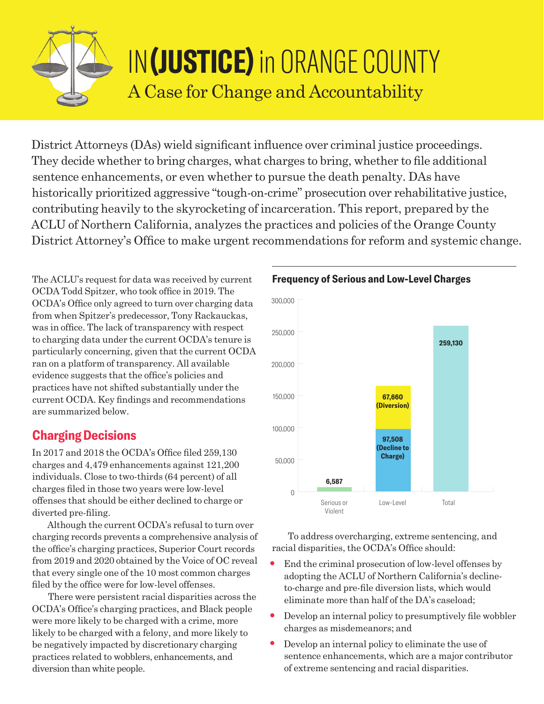

# IN**(JUSTICE)** in ORANGE COUNTY A Case for Change and Accountability

District Attorneys (DAs) wield significant influence over criminal justice proceedings. They decide whether to bring charges, what charges to bring, whether to file additional sentence enhancements, or even whether to pursue the death penalty. DAs have historically prioritized aggressive "tough-on-crime" prosecution over rehabilitative justice, contributing heavily to the skyrocketing of incarceration. This report, prepared by the ACLU of Northern California, analyzes the practices and policies of the Orange County District Attorney's Office to make urgent recommendations for reform and systemic change.

The ACLU's request for data was received by current OCDA Todd Spitzer, who took office in 2019. The OCDA's Office only agreed to turn over charging data from when Spitzer's predecessor, Tony Rackauckas, was in office. The lack of transparency with respect to charging data under the current OCDA's tenure is particularly concerning, given that the current OCDA ran on a platform of transparency. All available evidence suggests that the office's policies and practices have not shifted substantially under the current OCDA. Key findings and recommendations are summarized below.

#### **Charging Decisions**

In 2017 and 2018 the OCDA's Office filed 259,130 charges and 4,479 enhancements against 121,200 individuals. Close to two-thirds (64 percent) of all charges filed in those two years were low-level offenses that should be either declined to charge or diverted pre-filing.

Although the current OCDA's refusal to turn over charging records prevents a comprehensive analysis of the office's charging practices, Superior Court records from 2019 and 2020 obtained by the Voice of OC reveal that every single one of the 10 most common charges filed by the office were for low-level offenses.

There were persistent racial disparities across the OCDA's Office's charging practices, and Black people were more likely to be charged with a crime, more likely to be charged with a felony, and more likely to be negatively impacted by discretionary charging practices related to wobblers, enhancements, and diversion than white people.



#### **Frequency of Serious and Low-Level Charges**

To address overcharging, extreme sentencing, and racial disparities, the OCDA's Office should:

- End the criminal prosecution of low-level offenses by adopting the ACLU of Northern California's declineto-charge and pre-file diversion lists, which would eliminate more than half of the DA's caseload;
- Develop an internal policy to presumptively file wobbler charges as misdemeanors; and
- Develop an internal policy to eliminate the use of sentence enhancements, which are a major contributor of extreme sentencing and racial disparities.